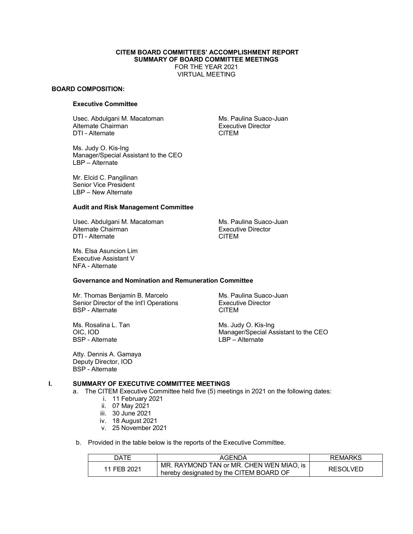#### **CITEM BOARD COMMITTEES' ACCOMPLISHMENT REPORT SUMMARY OF BOARD COMMITTEE MEETINGS** FOR THE YEAR 2021

VIRTUAL MEETING

#### **BOARD COMPOSITION:**

# **Executive Committee**

Usec. Abdulgani M. Macatoman Ms. Paulina Suaco-Juan Alternate Chairman and Executive Director<br>
DTI - Alternate and Executive Director<br>
CITEM DTI - Alternate

Ms. Judy O. Kis-Ing Manager/Special Assistant to the CEO LBP – Alternate

Mr. Elcid C. Pangilinan Senior Vice President LBP – New Alternate

#### **Audit and Risk Management Committee**

Usec. Abdulgani M. Macatoman Ms. Paulina Suaco-Juan Alternate Chairman and Executive Director<br>
DTI - Alternate and Executive Director<br>
CITEM DTI - Alternate

Ms. Elsa Asuncion Lim Executive Assistant V NFA - Alternate

**Governance and Nomination and Remuneration Committee**

Mr. Thomas Benjamin B. Marcelo Ms. Paulina Suaco-Juan Senior Director of the Int'l Operations Executive Director BSP - Alternate CITEM

Ms. Rosalina L. Tan Ms. Judy O. Kis-Ing<br>OIC, IOD Manager/Special As BSP - Alternate LBP – Alternate

Atty. Dennis A. Gamaya Deputy Director, IOD BSP - Alternate

Manager/Special Assistant to the CEO

### **I. SUMMARY OF EXECUTIVE COMMITTEE MEETINGS**

a. The CITEM Executive Committee held five (5) meetings in 2021 on the following dates:

- i. 11 February 2021
- ii. 07 May 2021
- iii. 30 June 2021
- iv. 18 August 2021
- v. 25 November 2021

b. Provided in the table below is the reports of the Executive Committee.

| ר ATF       | AGENDA                                                                              | <b>REMARKS</b> |
|-------------|-------------------------------------------------------------------------------------|----------------|
| 11 FEB 2021 | MR. RAYMOND TAN or MR. CHEN WEN MIAO. is<br>hereby designated by the CITEM BOARD OF | RESOLVED       |